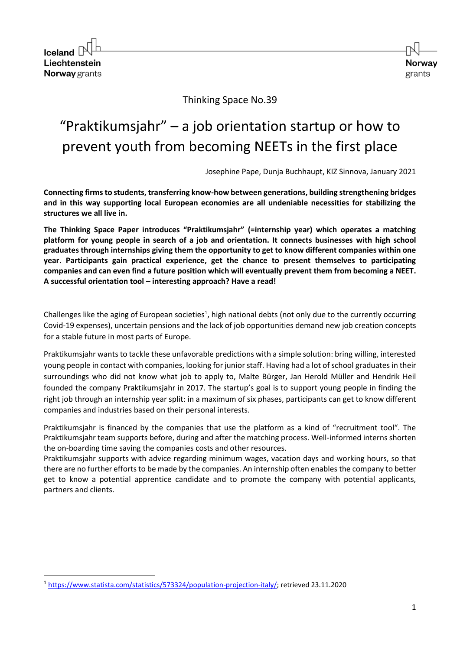Iceland  $\Box$ Liechtenstein **Norway** grants



Thinking Space No.39

# "Praktikumsjahr" – a job orientation startup or how to prevent youth from becoming NEETs in the first place

Josephine Pape, Dunja Buchhaupt, KIZ Sinnova, January 2021

**Connecting firms to students, transferring know-how between generations, building strengthening bridges and in this way supporting local European economies are all undeniable necessities for stabilizing the structures we all live in.** 

**The Thinking Space Paper introduces "Praktikumsjahr" (=internship year) which operates a matching platform for young people in search of a job and orientation. It connects businesses with high school graduates through internships giving them the opportunity to get to know different companies within one year. Participants gain practical experience, get the chance to present themselves to participating companies and can even find a future position which will eventually prevent them from becoming a NEET. A successful orientation tool – interesting approach? Have a read!**

Challenges like the aging of European societies<sup>1</sup>, high national debts (not only due to the currently occurring Covid-19 expenses), uncertain pensions and the lack of job opportunities demand new job creation concepts for a stable future in most parts of Europe.

Praktikumsjahr wants to tackle these unfavorable predictions with a simple solution: bring willing, interested young people in contact with companies, looking for junior staff. Having had a lot of school graduates in their surroundings who did not know what job to apply to, Malte Bürger, Jan Herold Müller and Hendrik Heil founded the company Praktikumsjahr in 2017. The startup's goal is to support young people in finding the right job through an internship year split: in a maximum of six phases, participants can get to know different companies and industries based on their personal interests.

Praktikumsjahr is financed by the companies that use the platform as a kind of "recruitment tool". The Praktikumsjahr team supports before, during and after the matching process. Well-informed interns shorten the on-boarding time saving the companies costs and other resources.

Praktikumsjahr supports with advice regarding minimum wages, vacation days and working hours, so that there are no further efforts to be made by the companies. An internship often enables the company to better get to know a potential apprentice candidate and to promote the company with potential applicants, partners and clients.

<sup>&</sup>lt;sup>1</sup> [https://www.statista.com/statistics/573324/population-projection-italy/;](https://www.statista.com/statistics/573324/population-projection-italy/) retrieved 23.11.2020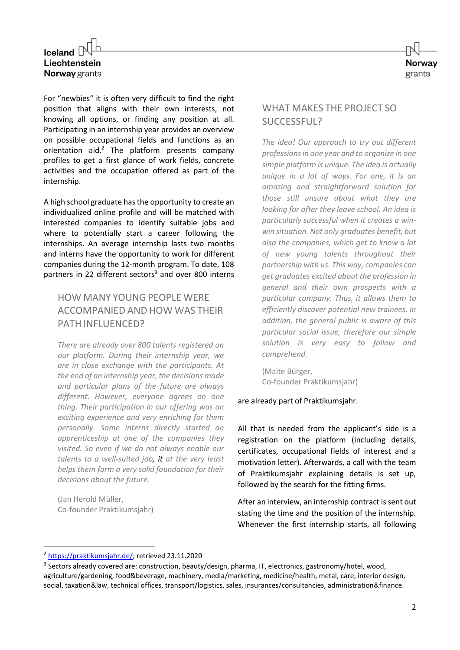## Iceland  $\Box$ Liechtenstein **Norway** grants



For "newbies" it is often very difficult to find the right position that aligns with their own interests, not knowing all options, or finding any position at all. Participating in an internship year provides an overview on possible occupational fields and functions as an orientation aid. $2$  The platform presents company profiles to get a first glance of work fields, concrete activities and the occupation offered as part of the internship.

A high school graduate has the opportunity to create an individualized online profile and will be matched with interested companies to identify suitable jobs and where to potentially start a career following the internships. An average internship lasts two months and interns have the opportunity to work for different companies during the 12-month program. To date, 108 partners in 22 different sectors<sup>3</sup> and over 800 interns

### HOW MANY YOUNG PEOPLE WERE ACCOMPANIED AND HOW WAS THEIR PATH INFLUENCED?

*There are already over 800 talents registered on our platform. During their internship year, we are in close exchange with the participants. At the end of an internship year, the decisions made and particular plans of the future are always different. However, everyone agrees on one thing. Their participation in our offering was an exciting experience and very enriching for them personally. Some interns directly started an apprenticeship at one of the companies they visited. So even if we do not always enable our talents to a well-suited job, it at the very least helps them form a very solid foundation for their decisions about the future.*

(Jan Herold Müller, Co-founder Praktikumsjahr)

#### WHAT MAKES THE PROJECT SO SUCCESSFUL?

*The idea! Our approach to try out different professions in one year and to organize in one simple platform is unique. The idea is actually unique in a lot of ways. For one, it is an amazing and straightforward solution for those still unsure about what they are looking for after they leave school. An idea is particularly successful when it creates a winwin situation. Not only graduates benefit, but also the companies, which get to know a lot of new young talents throughout their partnership with us. This way, companies can get graduates excited about the profession in general and their own prospects with a particular company. Thus, it allows them to efficiently discover potential new trainees. In addition, the general public is aware of this particular social issue, therefore our simple solution is very easy to follow and comprehend.*

(Malte Bürger, Co-founder Praktikumsjahr)

#### are already part of Praktikumsjahr.

All that is needed from the applicant's side is a registration on the platform (including details, certificates, occupational fields of interest and a motivation letter). Afterwards, a call with the team of Praktikumsjahr explaining details is set up, followed by the search for the fitting firms.

After an interview, an internship contract is sent out stating the time and the position of the internship. Whenever the first internship starts, all following

<sup>&</sup>lt;sup>2</sup> [https://praktikumsjahr.de/;](https://praktikumsjahr.de/) retrieved 23.11.2020

<sup>&</sup>lt;sup>3</sup> Sectors already covered are: construction, beauty/design, pharma, IT, electronics, gastronomy/hotel, wood, agriculture/gardening, food&beverage, machinery, media/marketing, medicine/health, metal, care, interior design, social, taxation&law, technical offices, transport/logistics, sales, insurances/consultancies, administration&finance.